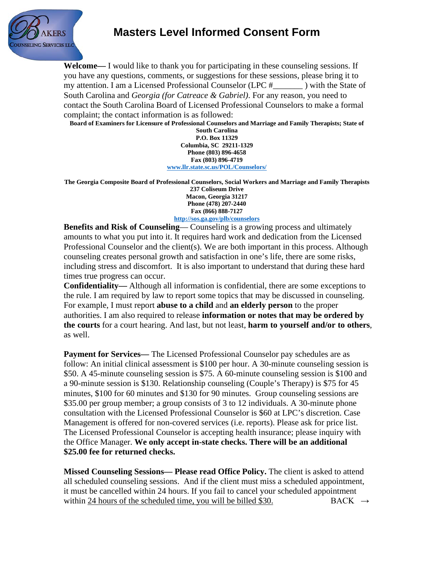

## **Masters Level Informed Consent Form**

**Welcome—** I would like to thank you for participating in these counseling sessions. If you have any questions, comments, or suggestions for these sessions, please bring it to my attention. I am a Licensed Professional Counselor (LPC # ) with the State of South Carolina and *Georgia (for Catreace & Gabriel)*. For any reason, you need to contact the South Carolina Board of Licensed Professional Counselors to make a formal complaint; the contact information is as followed:

**Board of Examiners for Licensure of Professional Counselors and Marriage and Family Therapists; State of** 

**South Carolina P.O. Box 11329 Columbia, SC 29211-1329 Phone (803) 896-4658 Fax (803) 896-4719 [www.llr.state.sc.us/POL/Counselors/](http://www.llr.state.sc.us/POL/Counselors/)**

**The Georgia Composite Board of Professional Counselors, Social Workers and Marriage and Family Therapists 237 Coliseum Drive Macon, Georgia 31217 Phone (478) 207-2440 Fax (866) 888-7127**

**<http://sos.ga.gov/plb/counselors>**

**Benefits and Risk of Counseling— Counseling is a growing process and ultimately** amounts to what you put into it. It requires hard work and dedication from the Licensed Professional Counselor and the client(s). We are both important in this process. Although counseling creates personal growth and satisfaction in one's life, there are some risks, including stress and discomfort. It is also important to understand that during these hard times true progress can occur.

**Confidentiality—** Although all information is confidential, there are some exceptions to the rule. I am required by law to report some topics that may be discussed in counseling. For example, I must report **abuse to a child** and **an elderly person** to the proper authorities. I am also required to release **information or notes that may be ordered by the courts** for a court hearing. And last, but not least, **harm to yourself and/or to others**, as well.

**Payment for Services—** The Licensed Professional Counselor pay schedules are as follow: An initial clinical assessment is \$100 per hour. A 30-minute counseling session is \$50. A 45-minute counseling session is \$75. A 60-minute counseling session is \$100 and a 90-minute session is \$130. Relationship counseling (Couple's Therapy) is \$75 for 45 minutes, \$100 for 60 minutes and \$130 for 90 minutes. Group counseling sessions are \$35.00 per group member; a group consists of 3 to 12 individuals. A 30-minute phone consultation with the Licensed Professional Counselor is \$60 at LPC's discretion. Case Management is offered for non-covered services (i.e. reports). Please ask for price list. The Licensed Professional Counselor is accepting health insurance; please inquiry with the Office Manager. **We only accept in-state checks. There will be an additional \$25.00 fee for returned checks.**

**Missed Counseling Sessions— Please read Office Policy.** The client is asked to attend all scheduled counseling sessions. And if the client must miss a scheduled appointment, it must be cancelled within 24 hours. If you fail to cancel your scheduled appointment within 24 hours of the scheduled time, you will be billed \$30. BACK  $\rightarrow$